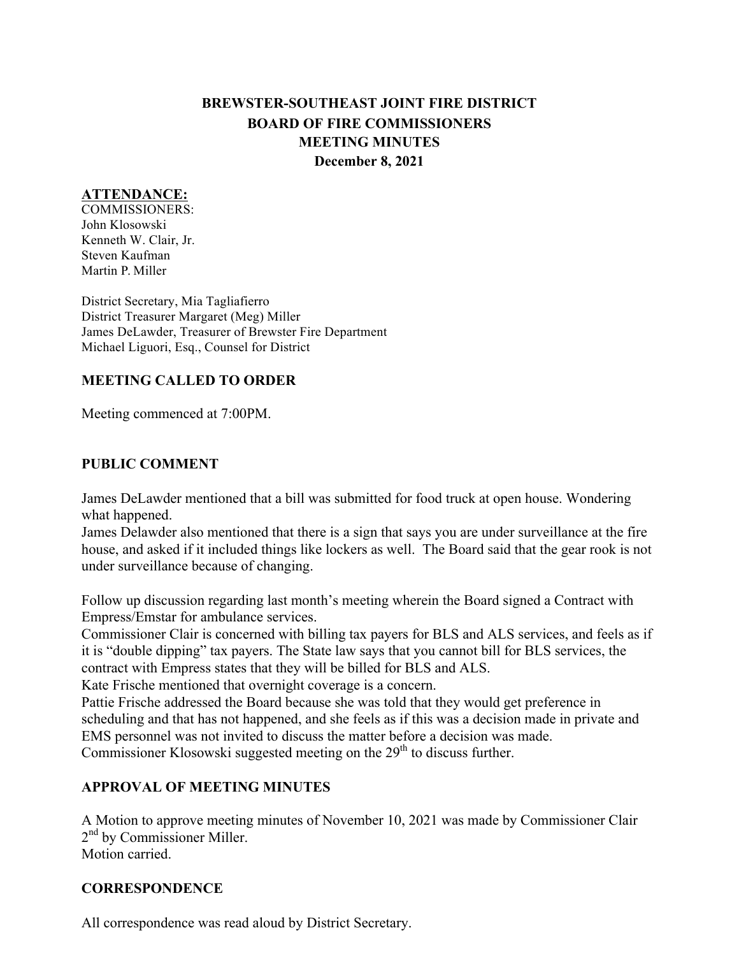# **BREWSTER-SOUTHEAST JOINT FIRE DISTRICT BOARD OF FIRE COMMISSIONERS MEETING MINUTES December 8, 2021**

### **ATTENDANCE:**

COMMISSIONERS: John Klosowski Kenneth W. Clair, Jr. Steven Kaufman Martin P. Miller

District Secretary, Mia Tagliafierro District Treasurer Margaret (Meg) Miller James DeLawder, Treasurer of Brewster Fire Department Michael Liguori, Esq., Counsel for District

#### **MEETING CALLED TO ORDER**

Meeting commenced at 7:00PM.

#### **PUBLIC COMMENT**

James DeLawder mentioned that a bill was submitted for food truck at open house. Wondering what happened.

James Delawder also mentioned that there is a sign that says you are under surveillance at the fire house, and asked if it included things like lockers as well. The Board said that the gear rook is not under surveillance because of changing.

Follow up discussion regarding last month's meeting wherein the Board signed a Contract with Empress/Emstar for ambulance services.

Commissioner Clair is concerned with billing tax payers for BLS and ALS services, and feels as if it is "double dipping" tax payers. The State law says that you cannot bill for BLS services, the contract with Empress states that they will be billed for BLS and ALS.

Kate Frische mentioned that overnight coverage is a concern.

Pattie Frische addressed the Board because she was told that they would get preference in scheduling and that has not happened, and she feels as if this was a decision made in private and EMS personnel was not invited to discuss the matter before a decision was made. Commissioner Klosowski suggested meeting on the  $29<sup>th</sup>$  to discuss further.

# **APPROVAL OF MEETING MINUTES**

A Motion to approve meeting minutes of November 10, 2021 was made by Commissioner Clair 2<sup>nd</sup> by Commissioner Miller. Motion carried.

#### **CORRESPONDENCE**

All correspondence was read aloud by District Secretary.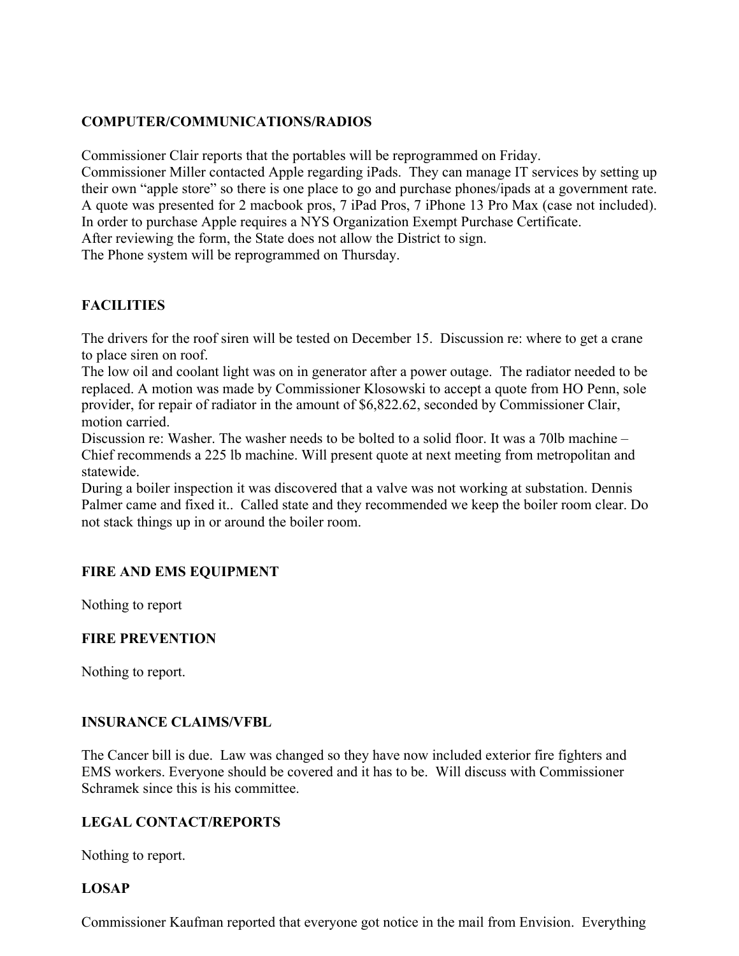# **COMPUTER/COMMUNICATIONS/RADIOS**

Commissioner Clair reports that the portables will be reprogrammed on Friday.

Commissioner Miller contacted Apple regarding iPads. They can manage IT services by setting up their own "apple store" so there is one place to go and purchase phones/ipads at a government rate. A quote was presented for 2 macbook pros, 7 iPad Pros, 7 iPhone 13 Pro Max (case not included). In order to purchase Apple requires a NYS Organization Exempt Purchase Certificate.

After reviewing the form, the State does not allow the District to sign.

The Phone system will be reprogrammed on Thursday.

# **FACILITIES**

The drivers for the roof siren will be tested on December 15. Discussion re: where to get a crane to place siren on roof.

The low oil and coolant light was on in generator after a power outage. The radiator needed to be replaced. A motion was made by Commissioner Klosowski to accept a quote from HO Penn, sole provider, for repair of radiator in the amount of \$6,822.62, seconded by Commissioner Clair, motion carried.

Discussion re: Washer. The washer needs to be bolted to a solid floor. It was a 70lb machine – Chief recommends a 225 lb machine. Will present quote at next meeting from metropolitan and statewide.

During a boiler inspection it was discovered that a valve was not working at substation. Dennis Palmer came and fixed it.. Called state and they recommended we keep the boiler room clear. Do not stack things up in or around the boiler room.

# **FIRE AND EMS EQUIPMENT**

Nothing to report

# **FIRE PREVENTION**

Nothing to report.

# **INSURANCE CLAIMS/VFBL**

The Cancer bill is due. Law was changed so they have now included exterior fire fighters and EMS workers. Everyone should be covered and it has to be. Will discuss with Commissioner Schramek since this is his committee.

# **LEGAL CONTACT/REPORTS**

Nothing to report.

# **LOSAP**

Commissioner Kaufman reported that everyone got notice in the mail from Envision. Everything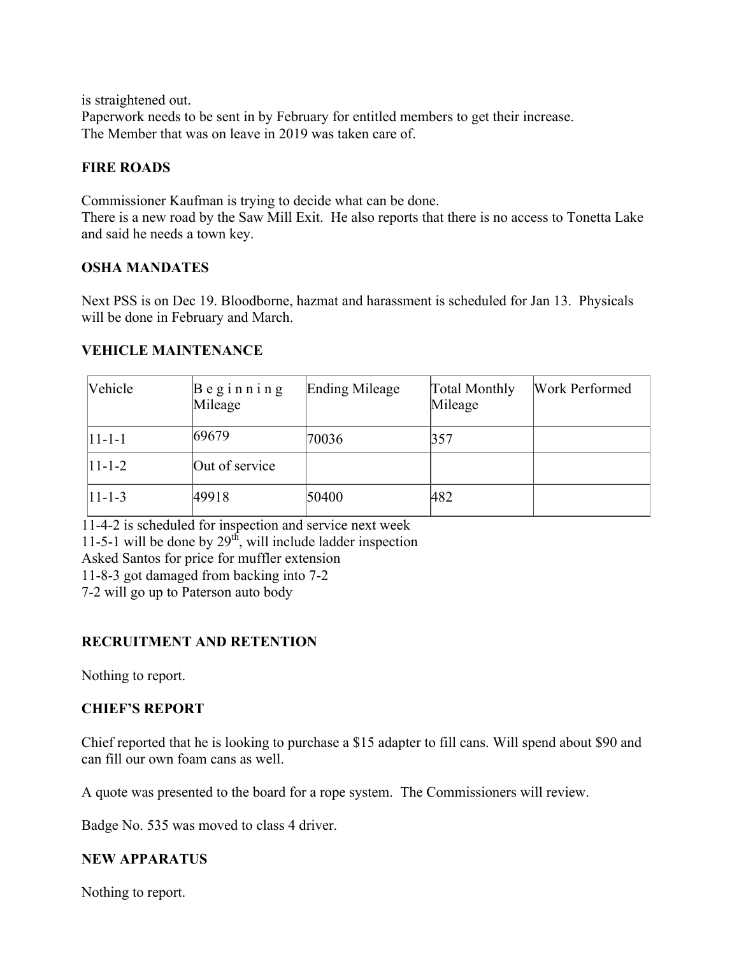is straightened out. Paperwork needs to be sent in by February for entitled members to get their increase. The Member that was on leave in 2019 was taken care of.

#### **FIRE ROADS**

Commissioner Kaufman is trying to decide what can be done. There is a new road by the Saw Mill Exit. He also reports that there is no access to Tonetta Lake and said he needs a town key.

#### **OSHA MANDATES**

Next PSS is on Dec 19. Bloodborne, hazmat and harassment is scheduled for Jan 13. Physicals will be done in February and March.

# **VEHICLE MAINTENANCE**

| Vehicle    | $B$ eginning<br>Mileage | Ending Mileage | <b>Total Monthly</b><br>Mileage | <b>Work Performed</b> |
|------------|-------------------------|----------------|---------------------------------|-----------------------|
| $ 11-1-1 $ | 69679                   | 70036          | 357                             |                       |
| $ 11-1-2 $ | Out of service          |                |                                 |                       |
| $ 11-1-3 $ | 49918                   | 50400          | 482                             |                       |

11-4-2 is scheduled for inspection and service next week

11-5-1 will be done by  $29<sup>th</sup>$ , will include ladder inspection

Asked Santos for price for muffler extension

11-8-3 got damaged from backing into 7-2

7-2 will go up to Paterson auto body

# **RECRUITMENT AND RETENTION**

Nothing to report.

# **CHIEF'S REPORT**

Chief reported that he is looking to purchase a \$15 adapter to fill cans. Will spend about \$90 and can fill our own foam cans as well.

A quote was presented to the board for a rope system. The Commissioners will review.

Badge No. 535 was moved to class 4 driver.

# **NEW APPARATUS**

Nothing to report.